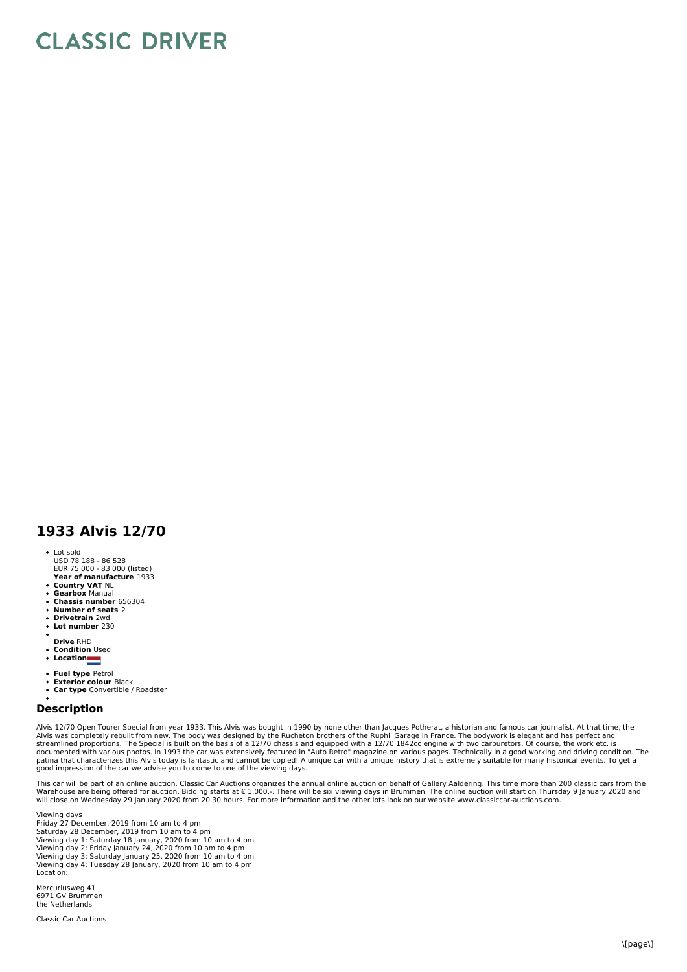## **CLASSIC DRIVER**

## **1933 Alvis 12/70**

- Lot sold
- USD 78 188 86 528 EUR 75 000 83 000 (listed)
- **Year of manufacture** 1933
- **Country VAT** NL **Gearbox** Manual
- **Chassis number** 656304
- 
- **Number of seats** 2 **Drivetrain** 2wd
- **Lot number** 230  $\bullet$
- **Drive** RHD
- $\ddot{\phantom{0}}$
- **Condition** Used **Location**  $\bullet$
- 
- **Fuel type** Petrol
- $\bullet$ **Exterior colour** Black **Car type** Convertible / Roadster
- 

## **Description**

Alvis 12/70 Open Tourer Special from year 1933. This Alvis was bought in 1990 by none other than Jacques Potherat, a historian and famous car journalist. At that time, the Alvis was completely rebuilt from new. The body was designed by the Rucheton brothers of the Ruphil Garage in France. The bodywork is elegant and has perfect and<br>streamlined proportions. The Special is built on the basis o good impression of the car we advise you to come to one of the viewing days.

This car will be part of an online auction. Classic Car Auctions organizes the annual online auction on behalf of Gallery Aaldering. This time more than 200 classic cars from the Warehouse are being offered for auction. Bidding starts at € 1.000,-. There will be six viewing days in Brummen. The online auction will start on Thursday 9 January 2020 and<br>will close on Wednesday 29 January 2020 from 20

Viewing days Friday 27 December, 2019 from 10 am to 4 pm Saturday 28 December, 2019 from 10 am to 4 pm Viewing day 1: Saturday 18 January, 2020 from 10 am to 4 pm Viewing day 2: Friday January 24, 2020 from 10 am to 4 pm Viewing day 3: Saturday January 25, 2020 from 10 am to 4 pm Viewing day 4: Tuesday 28 January, 2020 from 10 am to 4 pm Location:

Mercuriusweg 41 6971 GV Brummen the Netherlands

Classic Car Auctions